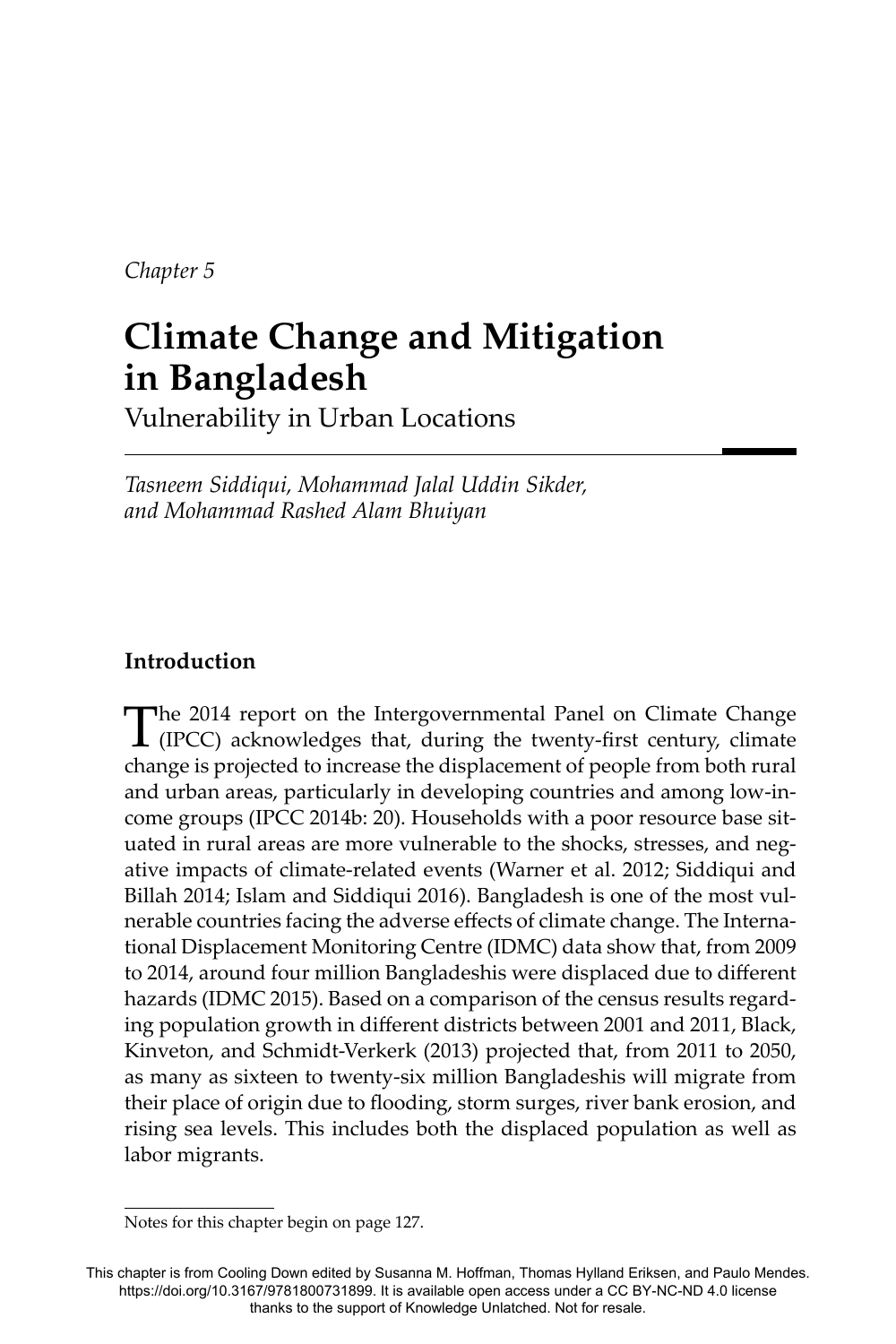*Chapter 5*

# **Climate Change and Mitigation in Bangladesh**

Vulnerability in Urban Locations

*Tasneem Siddiqui, Mohammad Jalal Uddin Sikder, and Mohammad Rashed Alam Bhuiyan*

# **Introduction**

The 2014 report on the Intergovernmental Panel on Climate Change (IPCC) acknowledges that, during the twenty-first century, climate change is projected to increase the displacement of people from both rural and urban areas, particularly in developing countries and among low-income groups (IPCC 2014b: 20). Households with a poor resource base situated in rural areas are more vulnerable to the shocks, stresses, and negative impacts of climate-related events (Warner et al. 2012; Siddiqui and Billah 2014; Islam and Siddiqui 2016). Bangladesh is one of the most vulnerable countries facing the adverse effects of climate change. The International Displacement Monitoring Centre (IDMC) data show that, from 2009 to 2014, around four million Bangladeshis were displaced due to different hazards (IDMC 2015). Based on a comparison of the census results regarding population growth in different districts between 2001 and 2011, Black, Kinveton, and Schmidt-Verkerk (2013) projected that, from 2011 to 2050, as many as sixteen to twenty-six million Bangladeshis will migrate from their place of origin due to flooding, storm surges, river bank erosion, and rising sea levels. This includes both the displaced population as well as labor migrants.

Notes for this chapter begin on page 127.

This chapter is from Cooling Down edited by Susanna M. Hoffman, Thomas Hylland Eriksen, and Paulo Mendes. https://doi.org/10.3167/9781800731899. It is available open access under a CC BY-NC-ND 4.0 license thanks to the support of Knowledge Unlatched. Not for resale.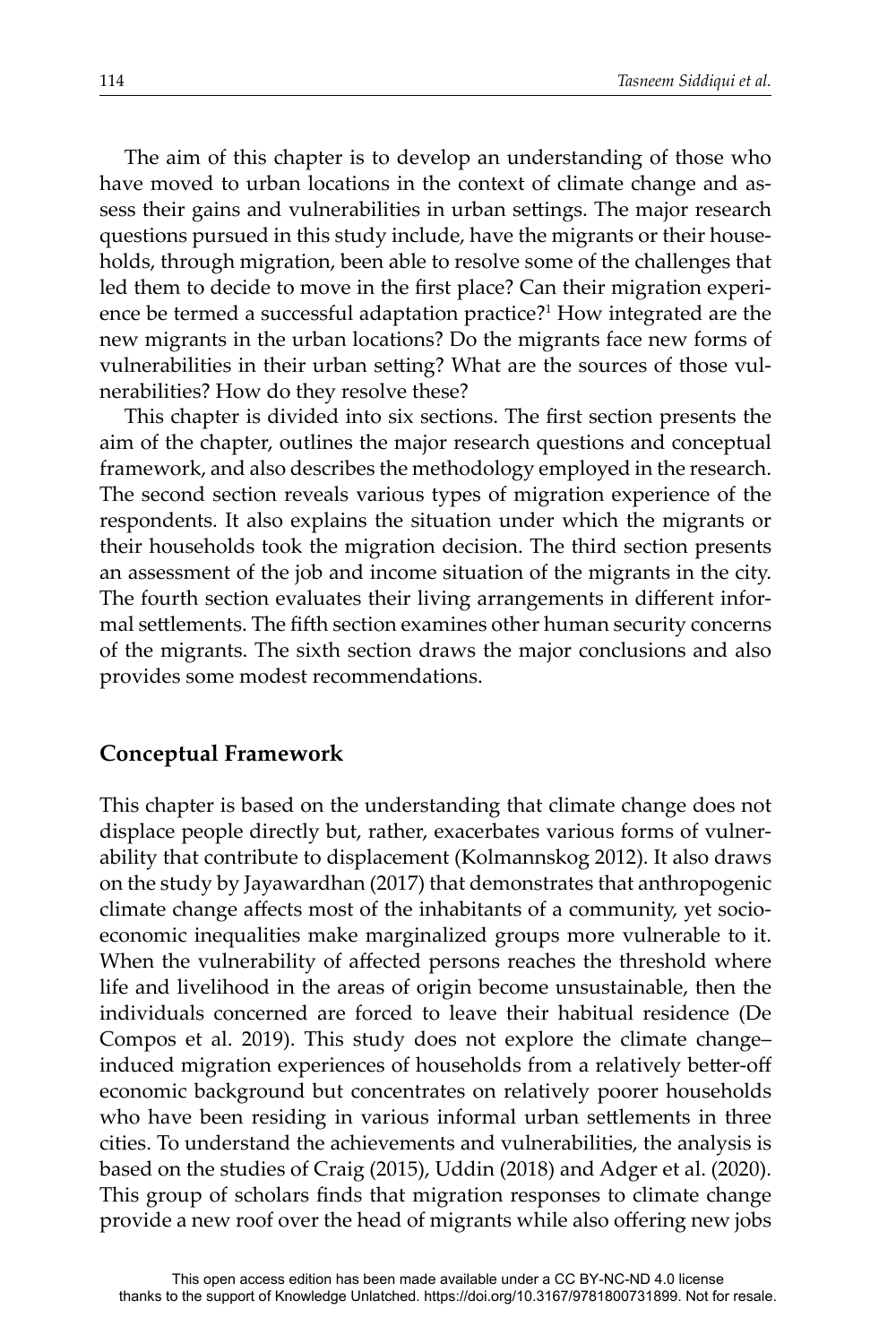The aim of this chapter is to develop an understanding of those who have moved to urban locations in the context of climate change and assess their gains and vulnerabilities in urban settings. The major research questions pursued in this study include, have the migrants or their households, through migration, been able to resolve some of the challenges that led them to decide to move in the first place? Can their migration experience be termed a successful adaptation practice?<sup>1</sup> How integrated are the new migrants in the urban locations? Do the migrants face new forms of vulnerabilities in their urban setting? What are the sources of those vulnerabilities? How do they resolve these?

This chapter is divided into six sections. The first section presents the aim of the chapter, outlines the major research questions and conceptual framework, and also describes the methodology employed in the research. The second section reveals various types of migration experience of the respondents. It also explains the situation under which the migrants or their households took the migration decision. The third section presents an assessment of the job and income situation of the migrants in the city. The fourth section evaluates their living arrangements in different informal settlements. The fifth section examines other human security concerns of the migrants. The sixth section draws the major conclusions and also provides some modest recommendations.

### **Conceptual Framework**

This chapter is based on the understanding that climate change does not displace people directly but, rather, exacerbates various forms of vulnerability that contribute to displacement (Kolmannskog 2012). It also draws on the study by Jayawardhan (2017) that demonstrates that anthropogenic climate change affects most of the inhabitants of a community, yet socioeconomic inequalities make marginalized groups more vulnerable to it. When the vulnerability of affected persons reaches the threshold where life and livelihood in the areas of origin become unsustainable, then the individuals concerned are forced to leave their habitual residence (De Compos et al. 2019). This study does not explore the climate change– induced migration experiences of households from a relatively better-off economic background but concentrates on relatively poorer households who have been residing in various informal urban settlements in three cities. To understand the achievements and vulnerabilities, the analysis is based on the studies of Craig (2015), Uddin (2018) and Adger et al. (2020). This group of scholars finds that migration responses to climate change provide a new roof over the head of migrants while also offering new jobs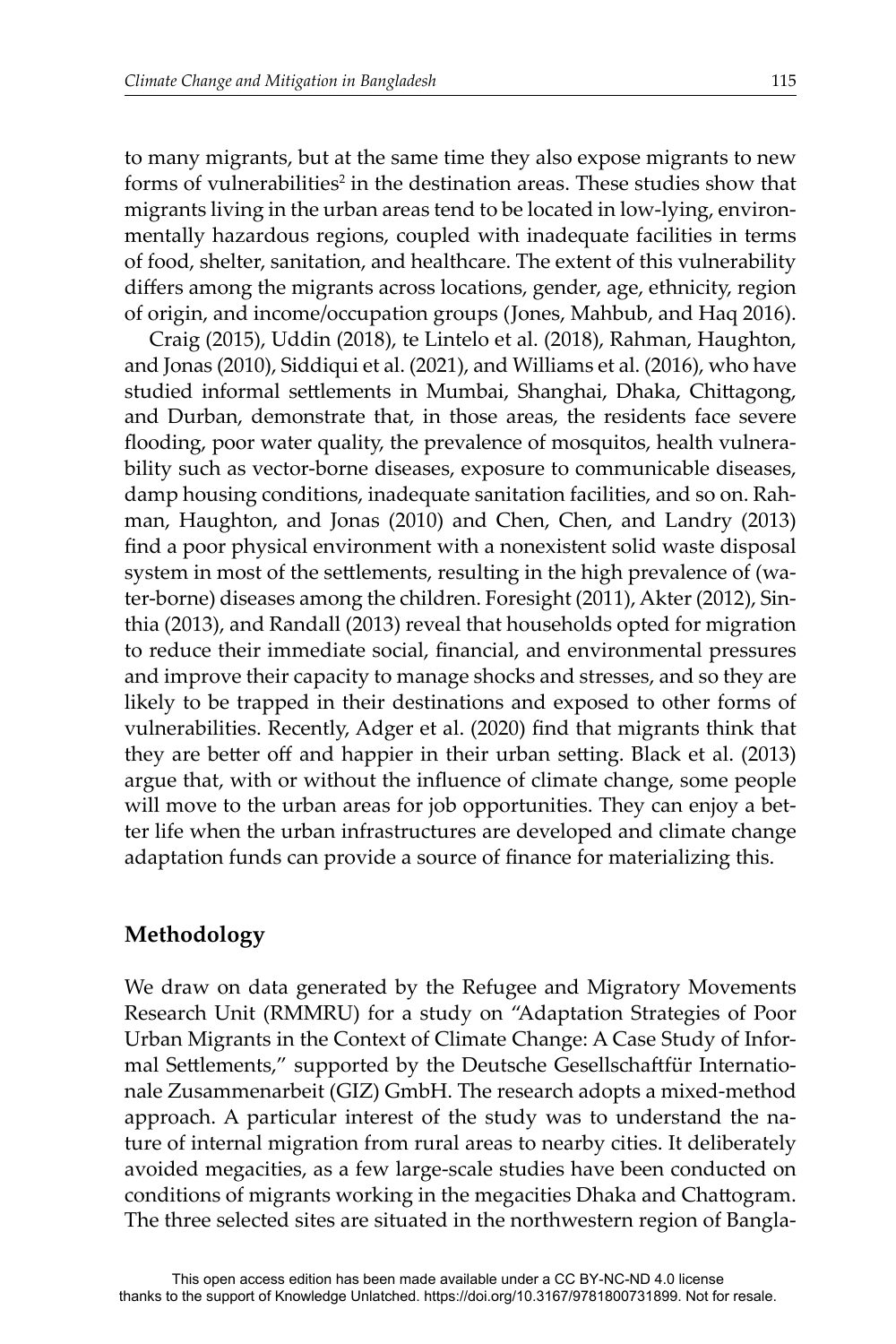to many migrants, but at the same time they also expose migrants to new forms of vulnerabilities<sup>2</sup> in the destination areas. These studies show that migrants living in the urban areas tend to be located in low-lying, environmentally hazardous regions, coupled with inadequate facilities in terms of food, shelter, sanitation, and healthcare. The extent of this vulnerability differs among the migrants across locations, gender, age, ethnicity, region of origin, and income/occupation groups (Jones, Mahbub, and Haq 2016).

Craig (2015), Uddin (2018), te Lintelo et al. (2018), Rahman, Haughton, and Jonas (2010), Siddiqui et al. (2021), and Williams et al. (2016), who have studied informal settlements in Mumbai, Shanghai, Dhaka, Chittagong, and Durban, demonstrate that, in those areas, the residents face severe flooding, poor water quality, the prevalence of mosquitos, health vulnerability such as vector-borne diseases, exposure to communicable diseases, damp housing conditions, inadequate sanitation facilities, and so on. Rahman, Haughton, and Jonas (2010) and Chen, Chen, and Landry (2013) find a poor physical environment with a nonexistent solid waste disposal system in most of the settlements, resulting in the high prevalence of (water-borne) diseases among the children. Foresight (2011), Akter (2012), Sinthia (2013), and Randall (2013) reveal that households opted for migration to reduce their immediate social, financial, and environmental pressures and improve their capacity to manage shocks and stresses, and so they are likely to be trapped in their destinations and exposed to other forms of vulnerabilities. Recently, Adger et al. (2020) find that migrants think that they are better off and happier in their urban setting. Black et al. (2013) argue that, with or without the influence of climate change, some people will move to the urban areas for job opportunities. They can enjoy a better life when the urban infrastructures are developed and climate change adaptation funds can provide a source of finance for materializing this.

#### **Methodology**

We draw on data generated by the Refugee and Migratory Movements Research Unit (RMMRU) for a study on "Adaptation Strategies of Poor Urban Migrants in the Context of Climate Change: A Case Study of Informal Settlements," supported by the Deutsche Gesellschaftfür Internationale Zusammenarbeit (GIZ) GmbH. The research adopts a mixed-method approach. A particular interest of the study was to understand the nature of internal migration from rural areas to nearby cities. It deliberately avoided megacities, as a few large-scale studies have been conducted on conditions of migrants working in the megacities Dhaka and Chattogram. The three selected sites are situated in the northwestern region of Bangla-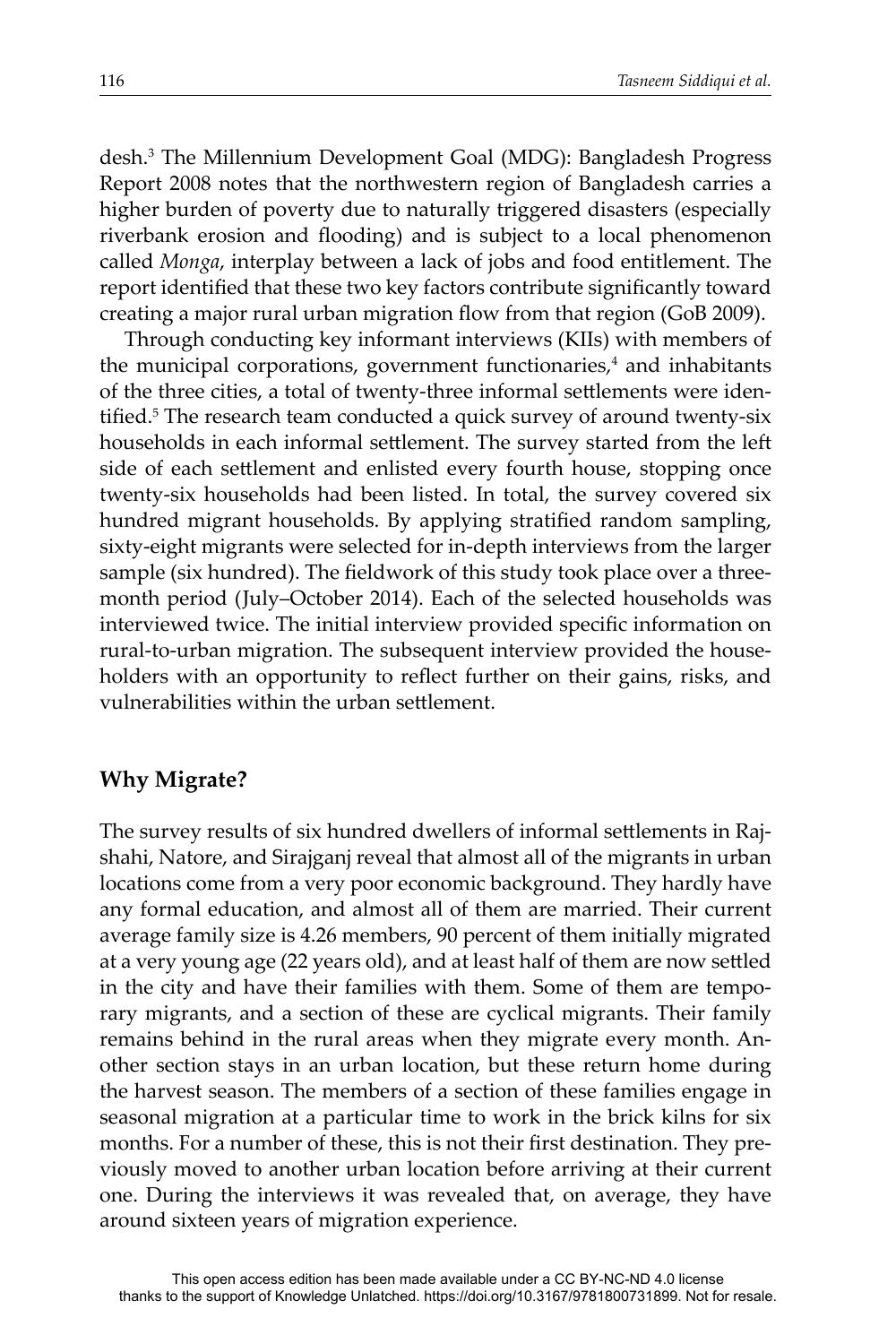desh.3 The Millennium Development Goal (MDG): Bangladesh Progress Report 2008 notes that the northwestern region of Bangladesh carries a higher burden of poverty due to naturally triggered disasters (especially riverbank erosion and flooding) and is subject to a local phenomenon called *Monga*, interplay between a lack of jobs and food entitlement. The report identified that these two key factors contribute significantly toward creating a major rural urban migration flow from that region (GoB 2009).

Through conducting key informant interviews (KIIs) with members of the municipal corporations, government functionaries,<sup>4</sup> and inhabitants of the three cities, a total of twenty-three informal settlements were identified.<sup>5</sup> The research team conducted a quick survey of around twenty-six households in each informal settlement. The survey started from the left side of each settlement and enlisted every fourth house, stopping once twenty-six households had been listed. In total, the survey covered six hundred migrant households. By applying stratified random sampling, sixty-eight migrants were selected for in-depth interviews from the larger sample (six hundred). The fieldwork of this study took place over a threemonth period (July–October 2014). Each of the selected households was interviewed twice. The initial interview provided specific information on rural-to-urban migration. The subsequent interview provided the householders with an opportunity to reflect further on their gains, risks, and vulnerabilities within the urban settlement.

## **Why Migrate?**

The survey results of six hundred dwellers of informal settlements in Rajshahi, Natore, and Sirajganj reveal that almost all of the migrants in urban locations come from a very poor economic background. They hardly have any formal education, and almost all of them are married. Their current average family size is 4.26 members, 90 percent of them initially migrated at a very young age (22 years old), and at least half of them are now settled in the city and have their families with them. Some of them are temporary migrants, and a section of these are cyclical migrants. Their family remains behind in the rural areas when they migrate every month. Another section stays in an urban location, but these return home during the harvest season. The members of a section of these families engage in seasonal migration at a particular time to work in the brick kilns for six months. For a number of these, this is not their first destination. They previously moved to another urban location before arriving at their current one. During the interviews it was revealed that, on average, they have around sixteen years of migration experience.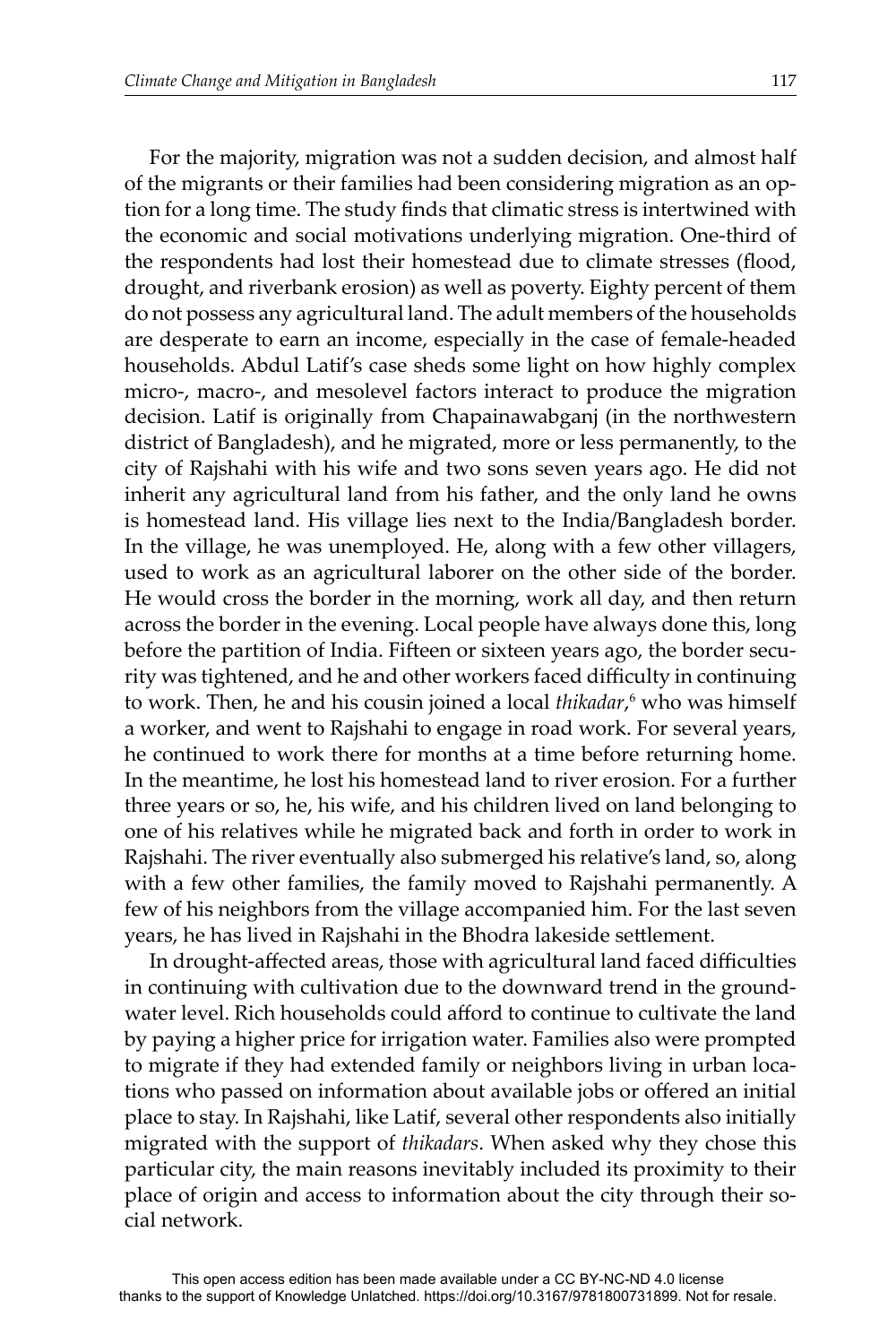For the majority, migration was not a sudden decision, and almost half of the migrants or their families had been considering migration as an option for a long time. The study finds that climatic stress is intertwined with the economic and social motivations underlying migration. One-third of the respondents had lost their homestead due to climate stresses (flood, drought, and riverbank erosion) as well as poverty. Eighty percent of them do not possess any agricultural land. The adult members of the households are desperate to earn an income, especially in the case of female-headed households. Abdul Latif's case sheds some light on how highly complex micro-, macro-, and mesolevel factors interact to produce the migration decision. Latif is originally from Chapainawabganj (in the northwestern district of Bangladesh), and he migrated, more or less permanently, to the city of Rajshahi with his wife and two sons seven years ago. He did not inherit any agricultural land from his father, and the only land he owns is homestead land. His village lies next to the India/Bangladesh border. In the village, he was unemployed. He, along with a few other villagers, used to work as an agricultural laborer on the other side of the border. He would cross the border in the morning, work all day, and then return across the border in the evening. Local people have always done this, long before the partition of India. Fifteen or sixteen years ago, the border security was tightened, and he and other workers faced difficulty in continuing to work. Then, he and his cousin joined a local *thikadar*, <sup>6</sup> who was himself a worker, and went to Rajshahi to engage in road work. For several years, he continued to work there for months at a time before returning home. In the meantime, he lost his homestead land to river erosion. For a further three years or so, he, his wife, and his children lived on land belonging to one of his relatives while he migrated back and forth in order to work in Rajshahi. The river eventually also submerged his relative's land, so, along with a few other families, the family moved to Rajshahi permanently. A few of his neighbors from the village accompanied him. For the last seven years, he has lived in Rajshahi in the Bhodra lakeside settlement.

In drought-affected areas, those with agricultural land faced difficulties in continuing with cultivation due to the downward trend in the groundwater level. Rich households could afford to continue to cultivate the land by paying a higher price for irrigation water. Families also were prompted to migrate if they had extended family or neighbors living in urban locations who passed on information about available jobs or offered an initial place to stay. In Rajshahi, like Latif, several other respondents also initially migrated with the support of *thikadars*. When asked why they chose this particular city, the main reasons inevitably included its proximity to their place of origin and access to information about the city through their social network.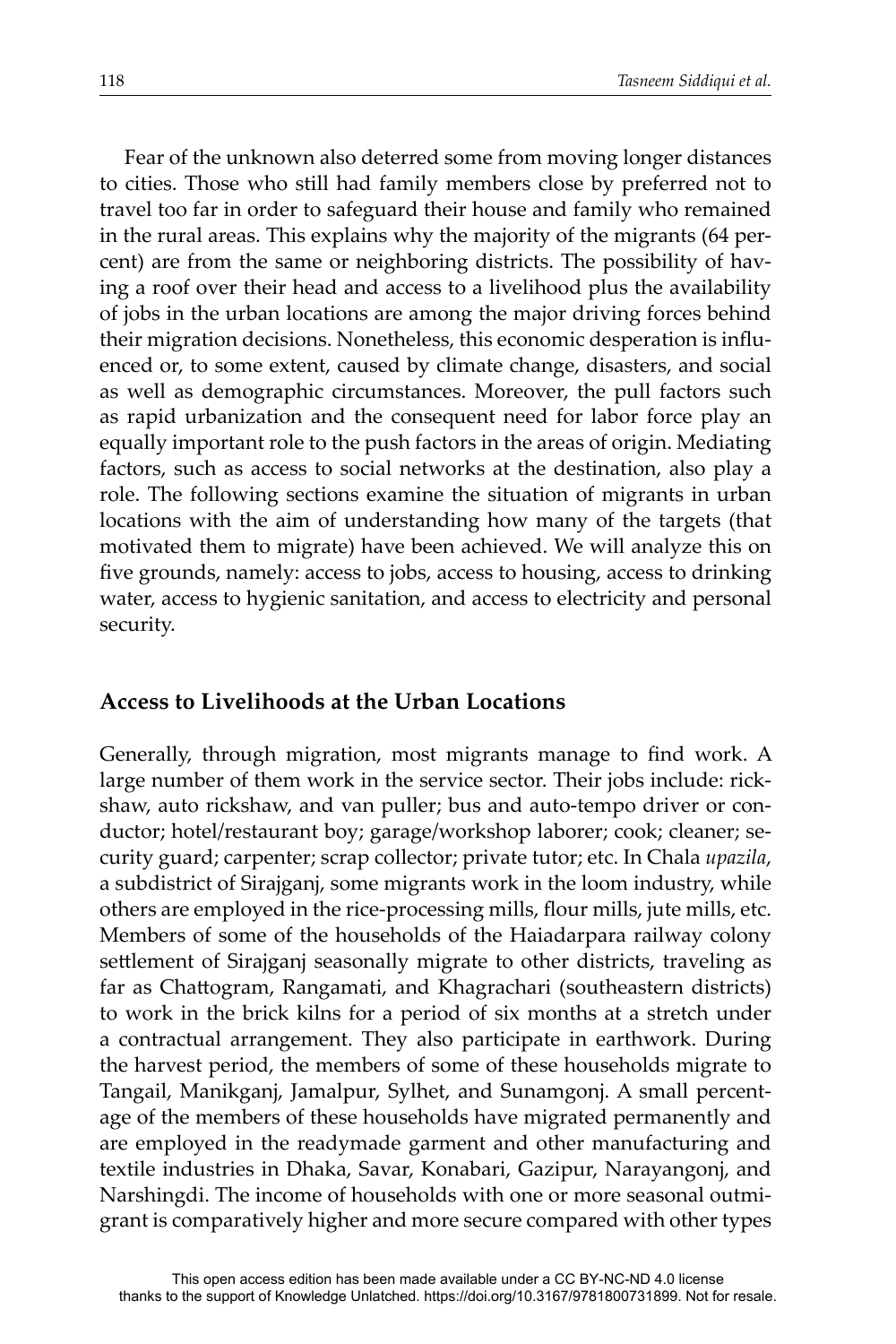Fear of the unknown also deterred some from moving longer distances to cities. Those who still had family members close by preferred not to travel too far in order to safeguard their house and family who remained in the rural areas. This explains why the majority of the migrants (64 percent) are from the same or neighboring districts. The possibility of having a roof over their head and access to a livelihood plus the availability of jobs in the urban locations are among the major driving forces behind their migration decisions. Nonetheless, this economic desperation is influenced or, to some extent, caused by climate change, disasters, and social as well as demographic circumstances. Moreover, the pull factors such as rapid urbanization and the consequent need for labor force play an equally important role to the push factors in the areas of origin. Mediating factors, such as access to social networks at the destination, also play a role. The following sections examine the situation of migrants in urban locations with the aim of understanding how many of the targets (that motivated them to migrate) have been achieved. We will analyze this on five grounds, namely: access to jobs, access to housing, access to drinking water, access to hygienic sanitation, and access to electricity and personal security.

#### **Access to Livelihoods at the Urban Locations**

Generally, through migration, most migrants manage to find work. A large number of them work in the service sector. Their jobs include: rickshaw, auto rickshaw, and van puller; bus and auto-tempo driver or conductor; hotel/restaurant boy; garage/workshop laborer; cook; cleaner; security guard; carpenter; scrap collector; private tutor; etc. In Chala *upazila*, a subdistrict of Sirajganj, some migrants work in the loom industry, while others are employed in the rice-processing mills, flour mills, jute mills, etc. Members of some of the households of the Haiadarpara railway colony settlement of Sirajganj seasonally migrate to other districts, traveling as far as Chattogram, Rangamati, and Khagrachari (southeastern districts) to work in the brick kilns for a period of six months at a stretch under a contractual arrangement. They also participate in earthwork. During the harvest period, the members of some of these households migrate to Tangail, Manikganj, Jamalpur, Sylhet, and Sunamgonj. A small percentage of the members of these households have migrated permanently and are employed in the readymade garment and other manufacturing and textile industries in Dhaka, Savar, Konabari, Gazipur, Narayangonj, and Narshingdi. The income of households with one or more seasonal outmigrant is comparatively higher and more secure compared with other types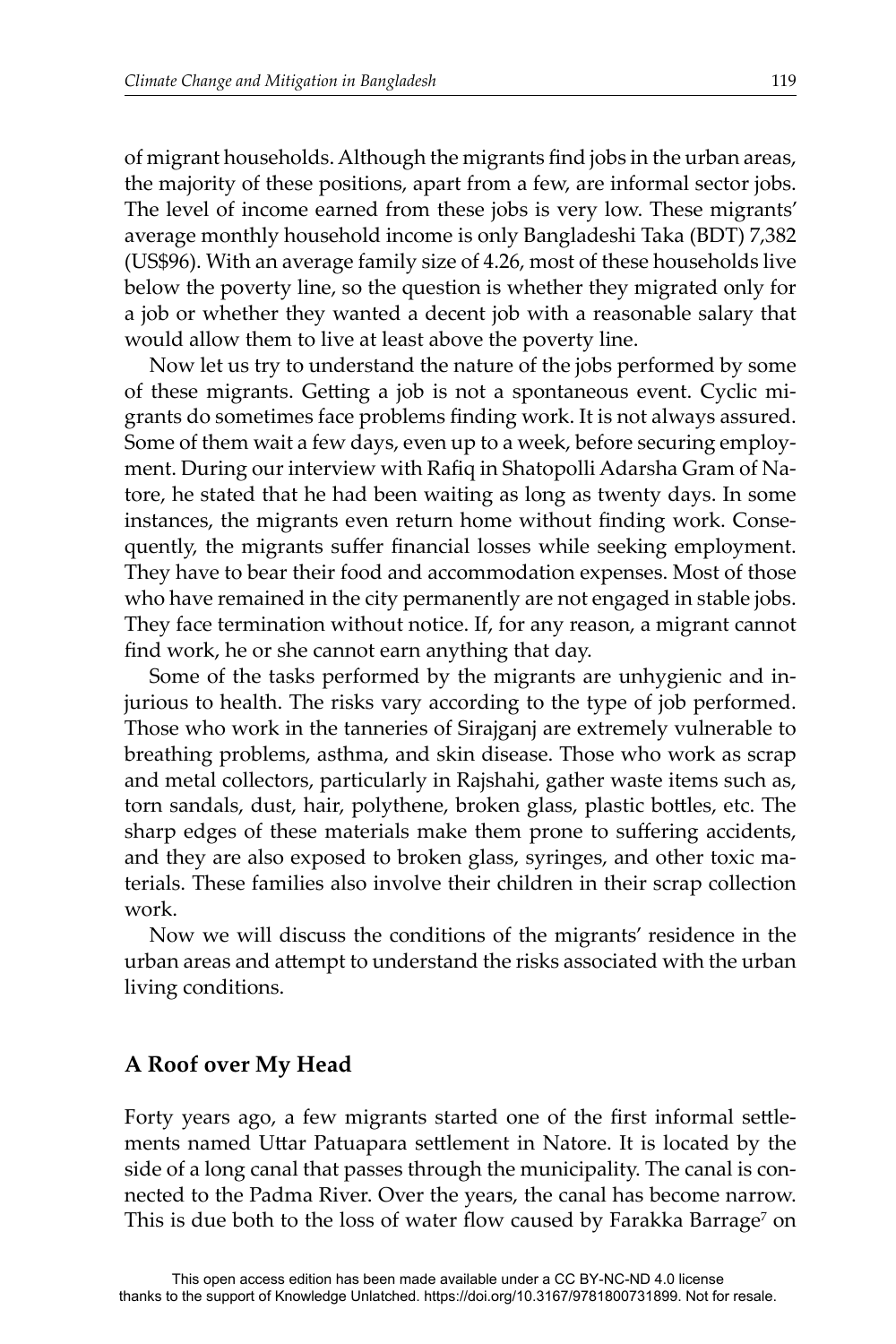of migrant households. Although the migrants find jobs in the urban areas, the majority of these positions, apart from a few, are informal sector jobs. The level of income earned from these jobs is very low. These migrants' average monthly household income is only Bangladeshi Taka (BDT) 7,382 (US\$96). With an average family size of 4.26, most of these households live below the poverty line, so the question is whether they migrated only for a job or whether they wanted a decent job with a reasonable salary that would allow them to live at least above the poverty line.

Now let us try to understand the nature of the jobs performed by some of these migrants. Getting a job is not a spontaneous event. Cyclic migrants do sometimes face problems finding work. It is not always assured. Some of them wait a few days, even up to a week, before securing employment. During our interview with Rafiq in Shatopolli Adarsha Gram of Natore, he stated that he had been waiting as long as twenty days. In some instances, the migrants even return home without finding work. Consequently, the migrants suffer financial losses while seeking employment. They have to bear their food and accommodation expenses. Most of those who have remained in the city permanently are not engaged in stable jobs. They face termination without notice. If, for any reason, a migrant cannot find work, he or she cannot earn anything that day.

Some of the tasks performed by the migrants are unhygienic and injurious to health. The risks vary according to the type of job performed. Those who work in the tanneries of Sirajganj are extremely vulnerable to breathing problems, asthma, and skin disease. Those who work as scrap and metal collectors, particularly in Rajshahi, gather waste items such as, torn sandals, dust, hair, polythene, broken glass, plastic bottles, etc. The sharp edges of these materials make them prone to suffering accidents, and they are also exposed to broken glass, syringes, and other toxic materials. These families also involve their children in their scrap collection work.

Now we will discuss the conditions of the migrants' residence in the urban areas and attempt to understand the risks associated with the urban living conditions.

#### **A Roof over My Head**

Forty years ago, a few migrants started one of the first informal settlements named Uttar Patuapara settlement in Natore. It is located by the side of a long canal that passes through the municipality. The canal is connected to the Padma River. Over the years, the canal has become narrow. This is due both to the loss of water flow caused by Farakka Barrage<sup>7</sup> on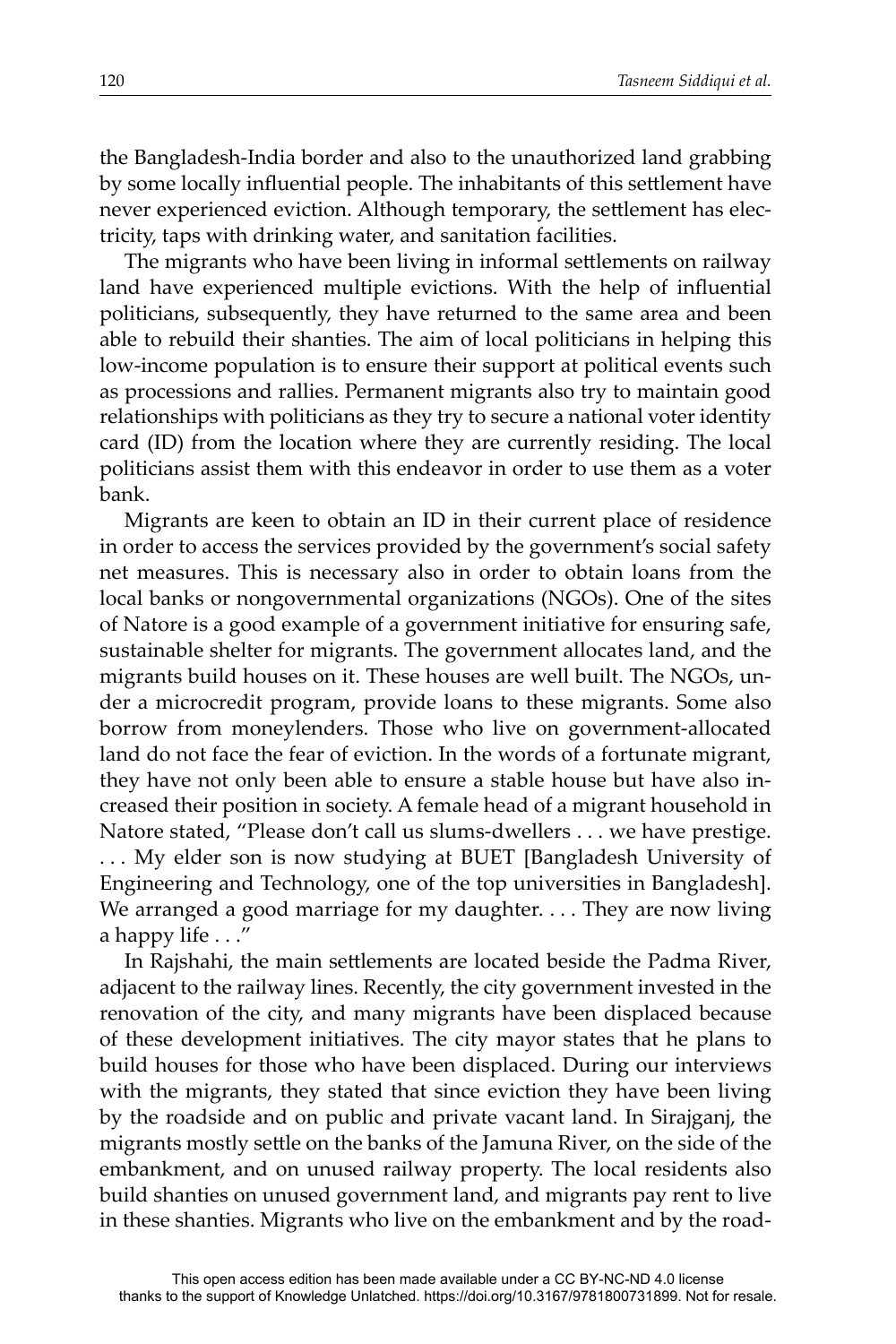the Bangladesh-India border and also to the unauthorized land grabbing by some locally influential people. The inhabitants of this settlement have never experienced eviction. Although temporary, the settlement has electricity, taps with drinking water, and sanitation facilities.

The migrants who have been living in informal settlements on railway land have experienced multiple evictions. With the help of influential politicians, subsequently, they have returned to the same area and been able to rebuild their shanties. The aim of local politicians in helping this low-income population is to ensure their support at political events such as processions and rallies. Permanent migrants also try to maintain good relationships with politicians as they try to secure a national voter identity card (ID) from the location where they are currently residing. The local politicians assist them with this endeavor in order to use them as a voter bank.

Migrants are keen to obtain an ID in their current place of residence in order to access the services provided by the government's social safety net measures. This is necessary also in order to obtain loans from the local banks or nongovernmental organizations (NGOs). One of the sites of Natore is a good example of a government initiative for ensuring safe, sustainable shelter for migrants. The government allocates land, and the migrants build houses on it. These houses are well built. The NGOs, under a microcredit program, provide loans to these migrants. Some also borrow from moneylenders. Those who live on government-allocated land do not face the fear of eviction. In the words of a fortunate migrant, they have not only been able to ensure a stable house but have also increased their position in society. A female head of a migrant household in Natore stated, "Please don't call us slums-dwellers . . . we have prestige. . . . My elder son is now studying at BUET [Bangladesh University of Engineering and Technology, one of the top universities in Bangladesh]. We arranged a good marriage for my daughter. . . . They are now living a happy life . . ."

In Rajshahi, the main settlements are located beside the Padma River, adjacent to the railway lines. Recently, the city government invested in the renovation of the city, and many migrants have been displaced because of these development initiatives. The city mayor states that he plans to build houses for those who have been displaced. During our interviews with the migrants, they stated that since eviction they have been living by the roadside and on public and private vacant land. In Sirajganj, the migrants mostly settle on the banks of the Jamuna River, on the side of the embankment, and on unused railway property. The local residents also build shanties on unused government land, and migrants pay rent to live in these shanties. Migrants who live on the embankment and by the road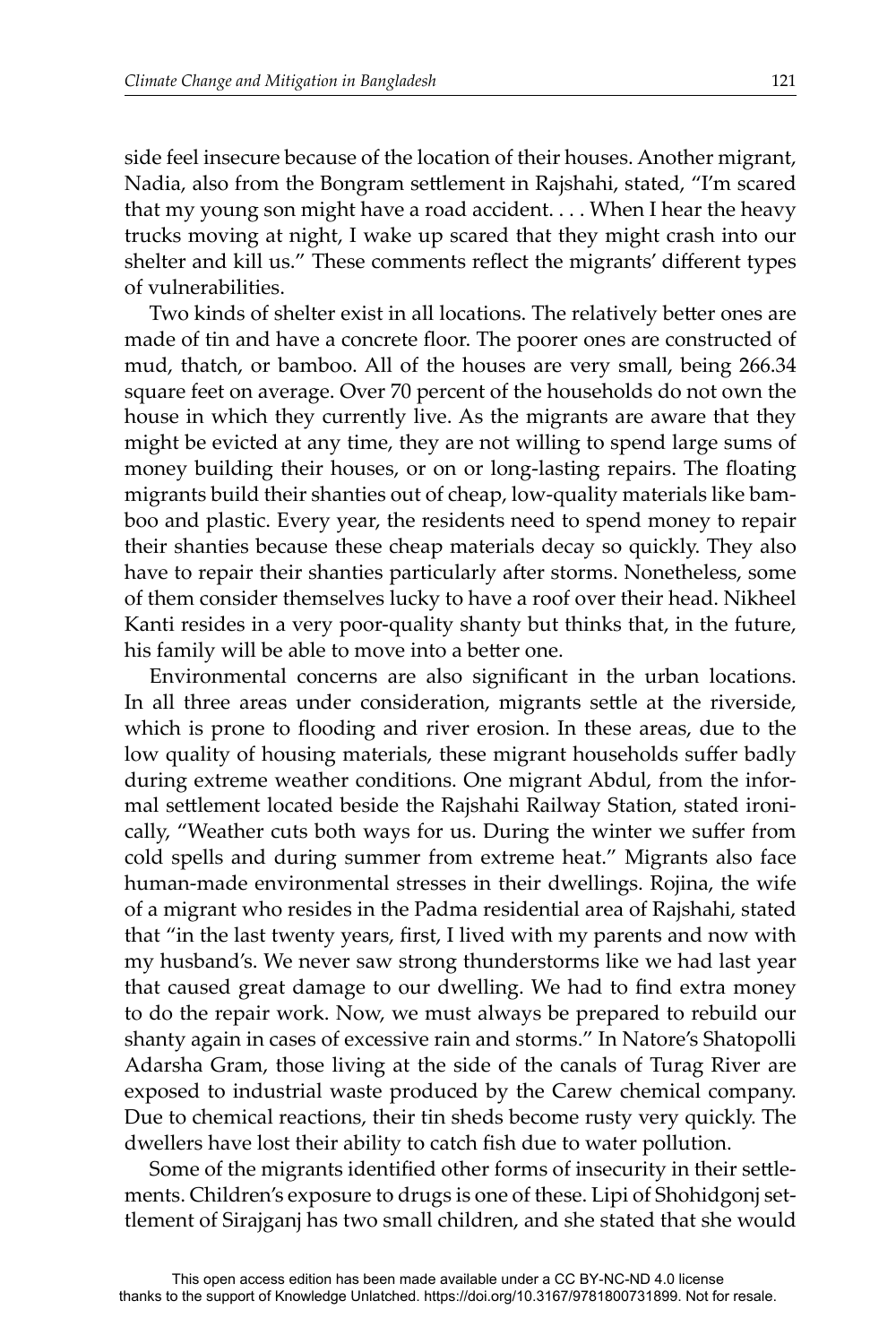side feel insecure because of the location of their houses. Another migrant, Nadia, also from the Bongram settlement in Rajshahi, stated, "I'm scared that my young son might have a road accident. . . . When I hear the heavy trucks moving at night, I wake up scared that they might crash into our shelter and kill us." These comments reflect the migrants' different types of vulnerabilities.

Two kinds of shelter exist in all locations. The relatively better ones are made of tin and have a concrete floor. The poorer ones are constructed of mud, thatch, or bamboo. All of the houses are very small, being 266.34 square feet on average. Over 70 percent of the households do not own the house in which they currently live. As the migrants are aware that they might be evicted at any time, they are not willing to spend large sums of money building their houses, or on or long-lasting repairs. The floating migrants build their shanties out of cheap, low-quality materials like bamboo and plastic. Every year, the residents need to spend money to repair their shanties because these cheap materials decay so quickly. They also have to repair their shanties particularly after storms. Nonetheless, some of them consider themselves lucky to have a roof over their head. Nikheel Kanti resides in a very poor-quality shanty but thinks that, in the future, his family will be able to move into a better one.

Environmental concerns are also significant in the urban locations. In all three areas under consideration, migrants settle at the riverside, which is prone to flooding and river erosion. In these areas, due to the low quality of housing materials, these migrant households suffer badly during extreme weather conditions. One migrant Abdul, from the informal settlement located beside the Rajshahi Railway Station, stated ironically, "Weather cuts both ways for us. During the winter we suffer from cold spells and during summer from extreme heat." Migrants also face human-made environmental stresses in their dwellings. Rojina, the wife of a migrant who resides in the Padma residential area of Rajshahi, stated that "in the last twenty years, first, I lived with my parents and now with my husband's. We never saw strong thunderstorms like we had last year that caused great damage to our dwelling. We had to find extra money to do the repair work. Now, we must always be prepared to rebuild our shanty again in cases of excessive rain and storms." In Natore's Shatopolli Adarsha Gram, those living at the side of the canals of Turag River are exposed to industrial waste produced by the Carew chemical company. Due to chemical reactions, their tin sheds become rusty very quickly. The dwellers have lost their ability to catch fish due to water pollution.

Some of the migrants identified other forms of insecurity in their settlements. Children's exposure to drugs is one of these. Lipi of Shohidgonj settlement of Sirajganj has two small children, and she stated that she would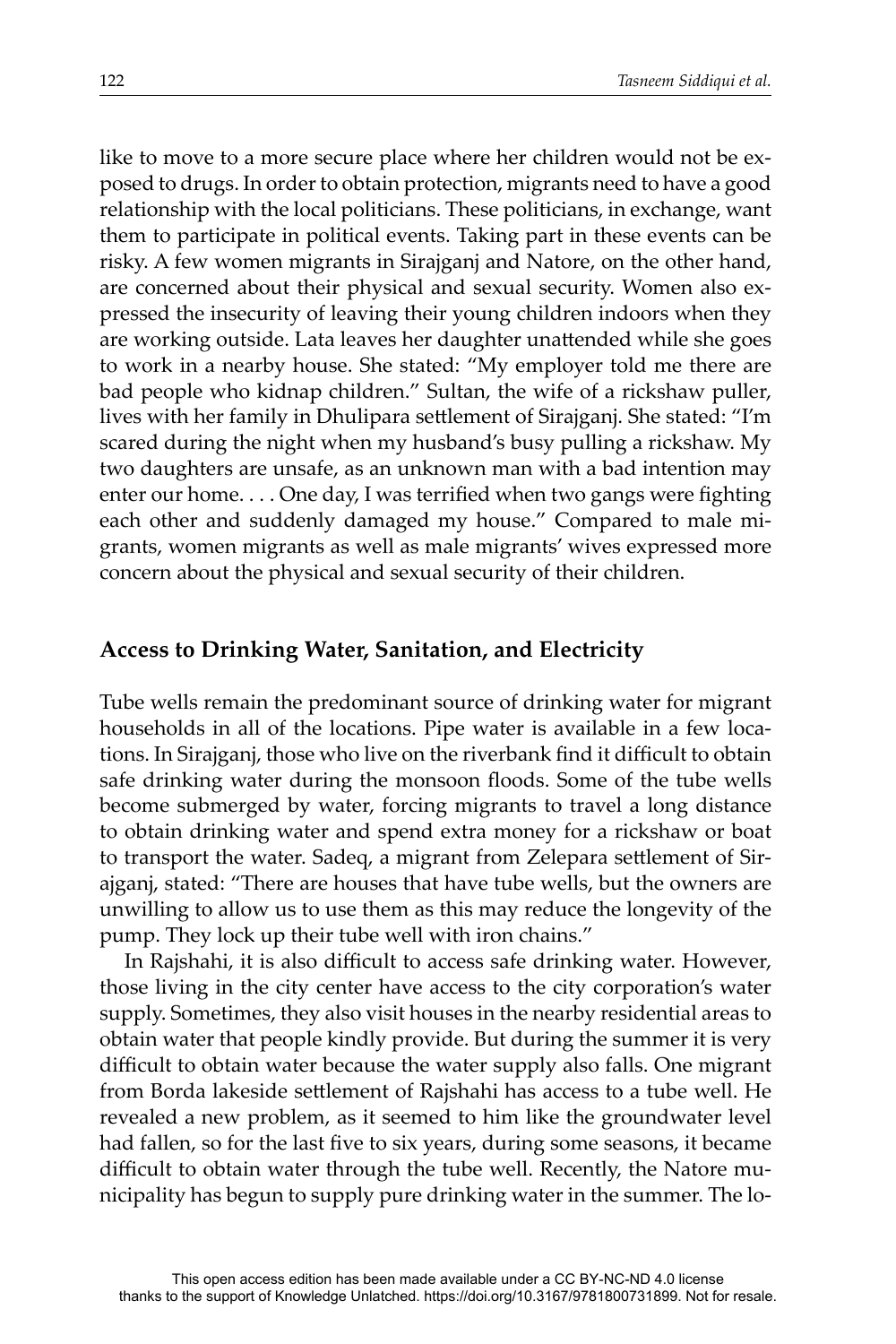like to move to a more secure place where her children would not be exposed to drugs. In order to obtain protection, migrants need to have a good relationship with the local politicians. These politicians, in exchange, want them to participate in political events. Taking part in these events can be risky. A few women migrants in Sirajganj and Natore, on the other hand, are concerned about their physical and sexual security. Women also expressed the insecurity of leaving their young children indoors when they are working outside. Lata leaves her daughter unattended while she goes to work in a nearby house. She stated: "My employer told me there are bad people who kidnap children." Sultan, the wife of a rickshaw puller, lives with her family in Dhulipara settlement of Sirajganj. She stated: "I'm scared during the night when my husband's busy pulling a rickshaw. My two daughters are unsafe, as an unknown man with a bad intention may enter our home.  $\dots$  One day, I was terrified when two gangs were fighting each other and suddenly damaged my house." Compared to male migrants, women migrants as well as male migrants' wives expressed more concern about the physical and sexual security of their children.

#### **Access to Drinking Water, Sanitation, and Electricity**

Tube wells remain the predominant source of drinking water for migrant households in all of the locations. Pipe water is available in a few locations. In Sirajganj, those who live on the riverbank find it difficult to obtain safe drinking water during the monsoon floods. Some of the tube wells become submerged by water, forcing migrants to travel a long distance to obtain drinking water and spend extra money for a rickshaw or boat to transport the water. Sadeq, a migrant from Zelepara settlement of Sirajganj, stated: "There are houses that have tube wells, but the owners are unwilling to allow us to use them as this may reduce the longevity of the pump. They lock up their tube well with iron chains."

In Rajshahi, it is also difficult to access safe drinking water. However, those living in the city center have access to the city corporation's water supply. Sometimes, they also visit houses in the nearby residential areas to obtain water that people kindly provide. But during the summer it is very difficult to obtain water because the water supply also falls. One migrant from Borda lakeside settlement of Rajshahi has access to a tube well. He revealed a new problem, as it seemed to him like the groundwater level had fallen, so for the last five to six years, during some seasons, it became difficult to obtain water through the tube well. Recently, the Natore municipality has begun to supply pure drinking water in the summer. The lo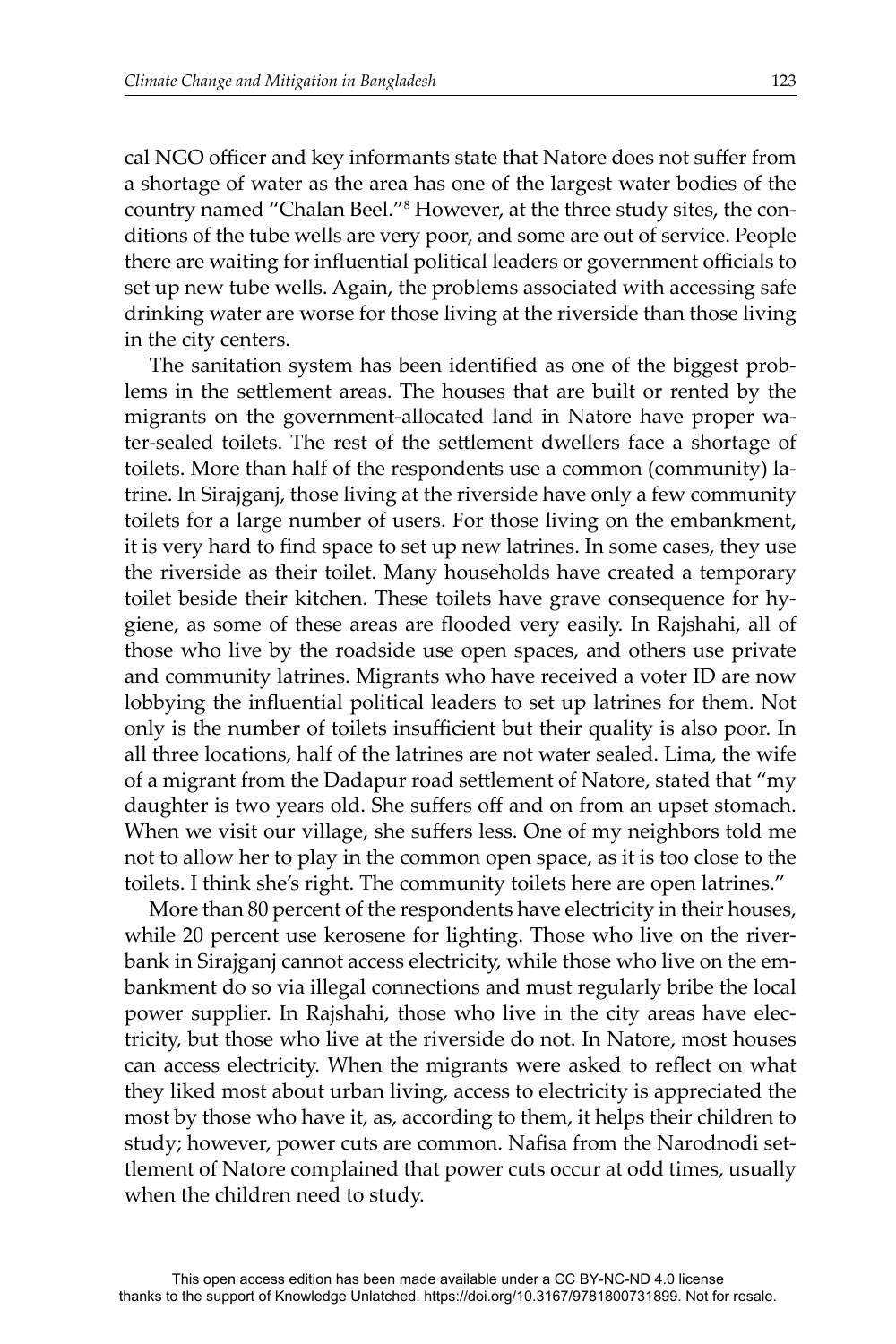cal NGO officer and key informants state that Natore does not suffer from a shortage of water as the area has one of the largest water bodies of the country named "Chalan Beel."<sup>8</sup> However, at the three study sites, the conditions of the tube wells are very poor, and some are out of service. People there are waiting for influential political leaders or government officials to set up new tube wells. Again, the problems associated with accessing safe drinking water are worse for those living at the riverside than those living in the city centers.

The sanitation system has been identified as one of the biggest problems in the settlement areas. The houses that are built or rented by the migrants on the government-allocated land in Natore have proper water-sealed toilets. The rest of the settlement dwellers face a shortage of toilets. More than half of the respondents use a common (community) latrine. In Sirajganj, those living at the riverside have only a few community toilets for a large number of users. For those living on the embankment, it is very hard to find space to set up new latrines. In some cases, they use the riverside as their toilet. Many households have created a temporary toilet beside their kitchen. These toilets have grave consequence for hygiene, as some of these areas are flooded very easily. In Rajshahi, all of those who live by the roadside use open spaces, and others use private and community latrines. Migrants who have received a voter ID are now lobbying the influential political leaders to set up latrines for them. Not only is the number of toilets insufficient but their quality is also poor. In all three locations, half of the latrines are not water sealed. Lima, the wife of a migrant from the Dadapur road settlement of Natore, stated that "my daughter is two years old. She suffers off and on from an upset stomach. When we visit our village, she suffers less. One of my neighbors told me not to allow her to play in the common open space, as it is too close to the toilets. I think she's right. The community toilets here are open latrines."

More than 80 percent of the respondents have electricity in their houses, while 20 percent use kerosene for lighting. Those who live on the riverbank in Sirajganj cannot access electricity, while those who live on the embankment do so via illegal connections and must regularly bribe the local power supplier. In Rajshahi, those who live in the city areas have electricity, but those who live at the riverside do not. In Natore, most houses can access electricity. When the migrants were asked to reflect on what they liked most about urban living, access to electricity is appreciated the most by those who have it, as, according to them, it helps their children to study; however, power cuts are common. Nafisa from the Narodnodi settlement of Natore complained that power cuts occur at odd times, usually when the children need to study.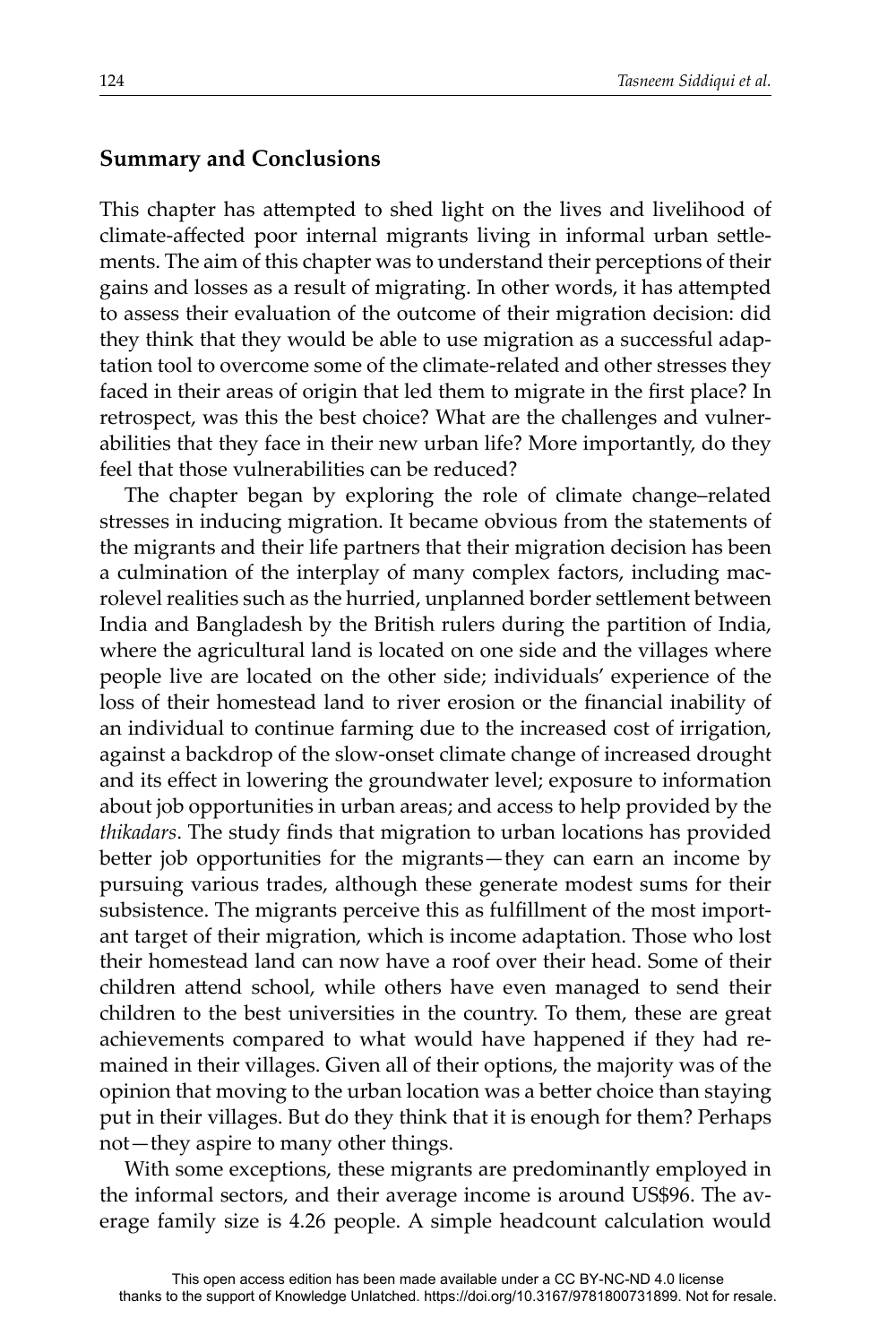#### **Summary and Conclusions**

This chapter has attempted to shed light on the lives and livelihood of climate-affected poor internal migrants living in informal urban settlements. The aim of this chapter was to understand their perceptions of their gains and losses as a result of migrating. In other words, it has attempted to assess their evaluation of the outcome of their migration decision: did they think that they would be able to use migration as a successful adaptation tool to overcome some of the climate-related and other stresses they faced in their areas of origin that led them to migrate in the first place? In retrospect, was this the best choice? What are the challenges and vulnerabilities that they face in their new urban life? More importantly, do they feel that those vulnerabilities can be reduced?

The chapter began by exploring the role of climate change–related stresses in inducing migration. It became obvious from the statements of the migrants and their life partners that their migration decision has been a culmination of the interplay of many complex factors, including macrolevel realities such as the hurried, unplanned border settlement between India and Bangladesh by the British rulers during the partition of India, where the agricultural land is located on one side and the villages where people live are located on the other side; individuals' experience of the loss of their homestead land to river erosion or the financial inability of an individual to continue farming due to the increased cost of irrigation, against a backdrop of the slow-onset climate change of increased drought and its effect in lowering the groundwater level; exposure to information about job opportunities in urban areas; and access to help provided by the *thikadars*. The study finds that migration to urban locations has provided better job opportunities for the migrants—they can earn an income by pursuing various trades, although these generate modest sums for their subsistence. The migrants perceive this as fulfillment of the most important target of their migration, which is income adaptation. Those who lost their homestead land can now have a roof over their head. Some of their children attend school, while others have even managed to send their children to the best universities in the country. To them, these are great achievements compared to what would have happened if they had remained in their villages. Given all of their options, the majority was of the opinion that moving to the urban location was a better choice than staying put in their villages. But do they think that it is enough for them? Perhaps not—they aspire to many other things.

With some exceptions, these migrants are predominantly employed in the informal sectors, and their average income is around US\$96. The average family size is 4.26 people. A simple headcount calculation would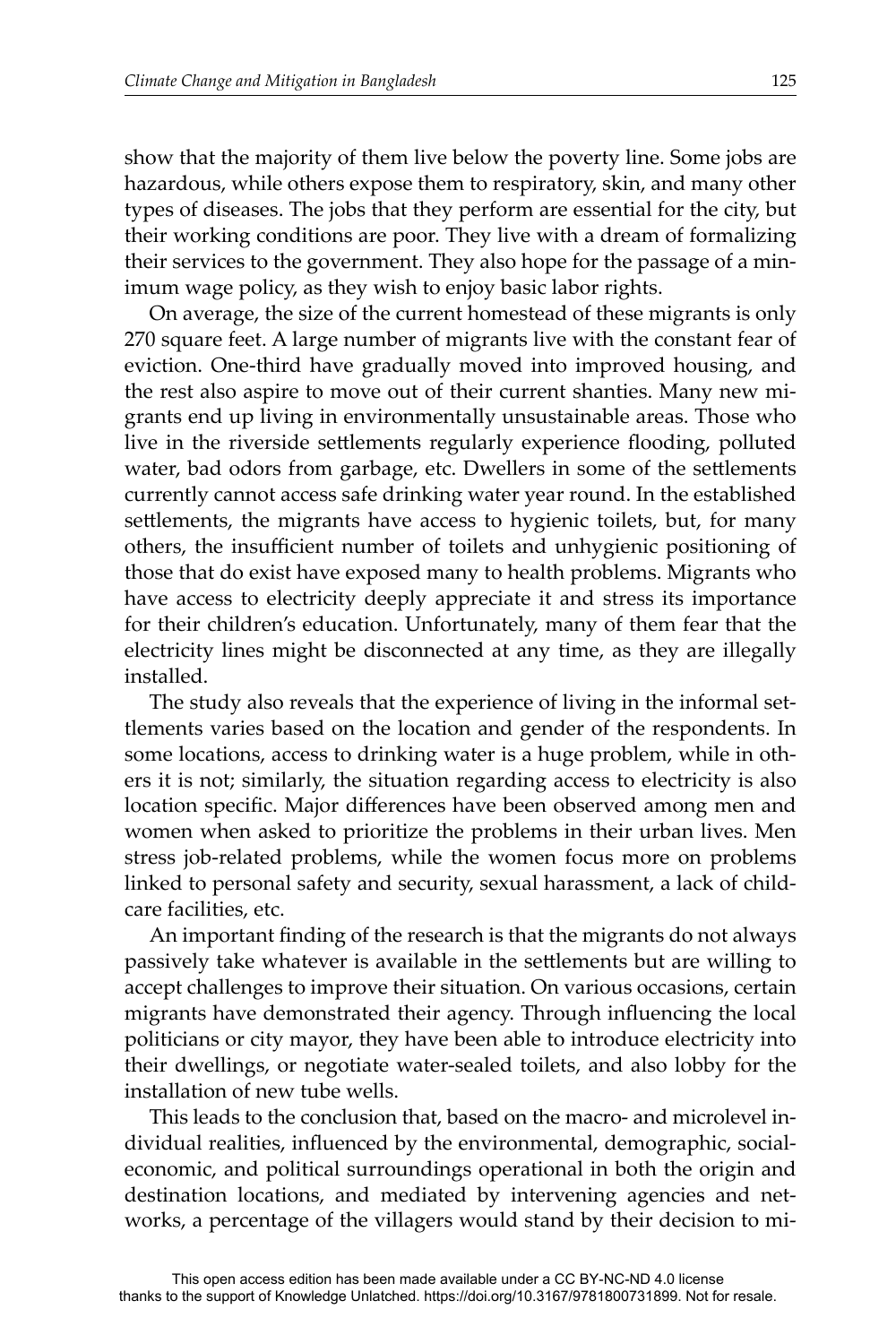show that the majority of them live below the poverty line. Some jobs are hazardous, while others expose them to respiratory, skin, and many other types of diseases. The jobs that they perform are essential for the city, but their working conditions are poor. They live with a dream of formalizing their services to the government. They also hope for the passage of a minimum wage policy, as they wish to enjoy basic labor rights.

On average, the size of the current homestead of these migrants is only 270 square feet. A large number of migrants live with the constant fear of eviction. One-third have gradually moved into improved housing, and the rest also aspire to move out of their current shanties. Many new migrants end up living in environmentally unsustainable areas. Those who live in the riverside settlements regularly experience flooding, polluted water, bad odors from garbage, etc. Dwellers in some of the settlements currently cannot access safe drinking water year round. In the established settlements, the migrants have access to hygienic toilets, but, for many others, the insufficient number of toilets and unhygienic positioning of those that do exist have exposed many to health problems. Migrants who have access to electricity deeply appreciate it and stress its importance for their children's education. Unfortunately, many of them fear that the electricity lines might be disconnected at any time, as they are illegally installed.

The study also reveals that the experience of living in the informal settlements varies based on the location and gender of the respondents. In some locations, access to drinking water is a huge problem, while in others it is not; similarly, the situation regarding access to electricity is also location specific. Major differences have been observed among men and women when asked to prioritize the problems in their urban lives. Men stress job-related problems, while the women focus more on problems linked to personal safety and security, sexual harassment, a lack of childcare facilities, etc.

An important finding of the research is that the migrants do not always passively take whatever is available in the settlements but are willing to accept challenges to improve their situation. On various occasions, certain migrants have demonstrated their agency. Through influencing the local politicians or city mayor, they have been able to introduce electricity into their dwellings, or negotiate water-sealed toilets, and also lobby for the installation of new tube wells.

This leads to the conclusion that, based on the macro- and microlevel individual realities, influenced by the environmental, demographic, socialeconomic, and political surroundings operational in both the origin and destination locations, and mediated by intervening agencies and networks, a percentage of the villagers would stand by their decision to mi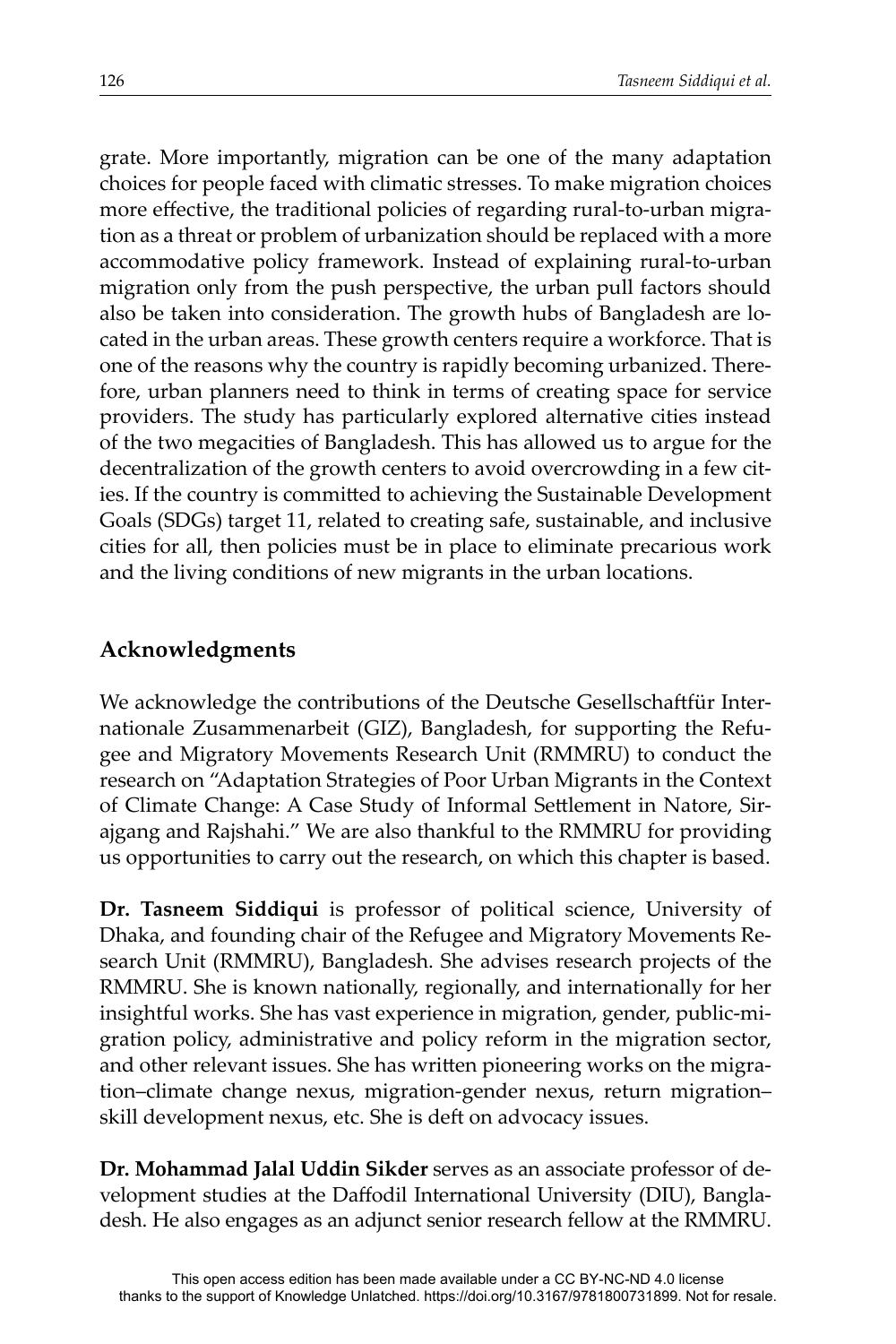grate. More importantly, migration can be one of the many adaptation choices for people faced with climatic stresses. To make migration choices more effective, the traditional policies of regarding rural-to-urban migration as a threat or problem of urbanization should be replaced with a more accommodative policy framework. Instead of explaining rural-to-urban migration only from the push perspective, the urban pull factors should also be taken into consideration. The growth hubs of Bangladesh are located in the urban areas. These growth centers require a workforce. That is one of the reasons why the country is rapidly becoming urbanized. Therefore, urban planners need to think in terms of creating space for service providers. The study has particularly explored alternative cities instead of the two megacities of Bangladesh. This has allowed us to argue for the decentralization of the growth centers to avoid overcrowding in a few cities. If the country is committed to achieving the Sustainable Development Goals (SDGs) target 11, related to creating safe, sustainable, and inclusive cities for all, then policies must be in place to eliminate precarious work and the living conditions of new migrants in the urban locations.

## **Acknowledgments**

We acknowledge the contributions of the Deutsche Gesellschaftfür Internationale Zusammenarbeit (GIZ), Bangladesh, for supporting the Refugee and Migratory Movements Research Unit (RMMRU) to conduct the research on "Adaptation Strategies of Poor Urban Migrants in the Context of Climate Change: A Case Study of Informal Settlement in Natore, Sirajgang and Rajshahi." We are also thankful to the RMMRU for providing us opportunities to carry out the research, on which this chapter is based.

**Dr. Tasneem Siddiqui** is professor of political science, University of Dhaka, and founding chair of the Refugee and Migratory Movements Research Unit (RMMRU), Bangladesh. She advises research projects of the RMMRU. She is known nationally, regionally, and internationally for her insightful works. She has vast experience in migration, gender, public-migration policy, administrative and policy reform in the migration sector, and other relevant issues. She has written pioneering works on the migration–climate change nexus, migration-gender nexus, return migration– skill development nexus, etc. She is deft on advocacy issues.

**Dr. Mohammad Jalal Uddin Sikder** serves as an associate professor of development studies at the Daffodil International University (DIU), Bangladesh. He also engages as an adjunct senior research fellow at the RMMRU.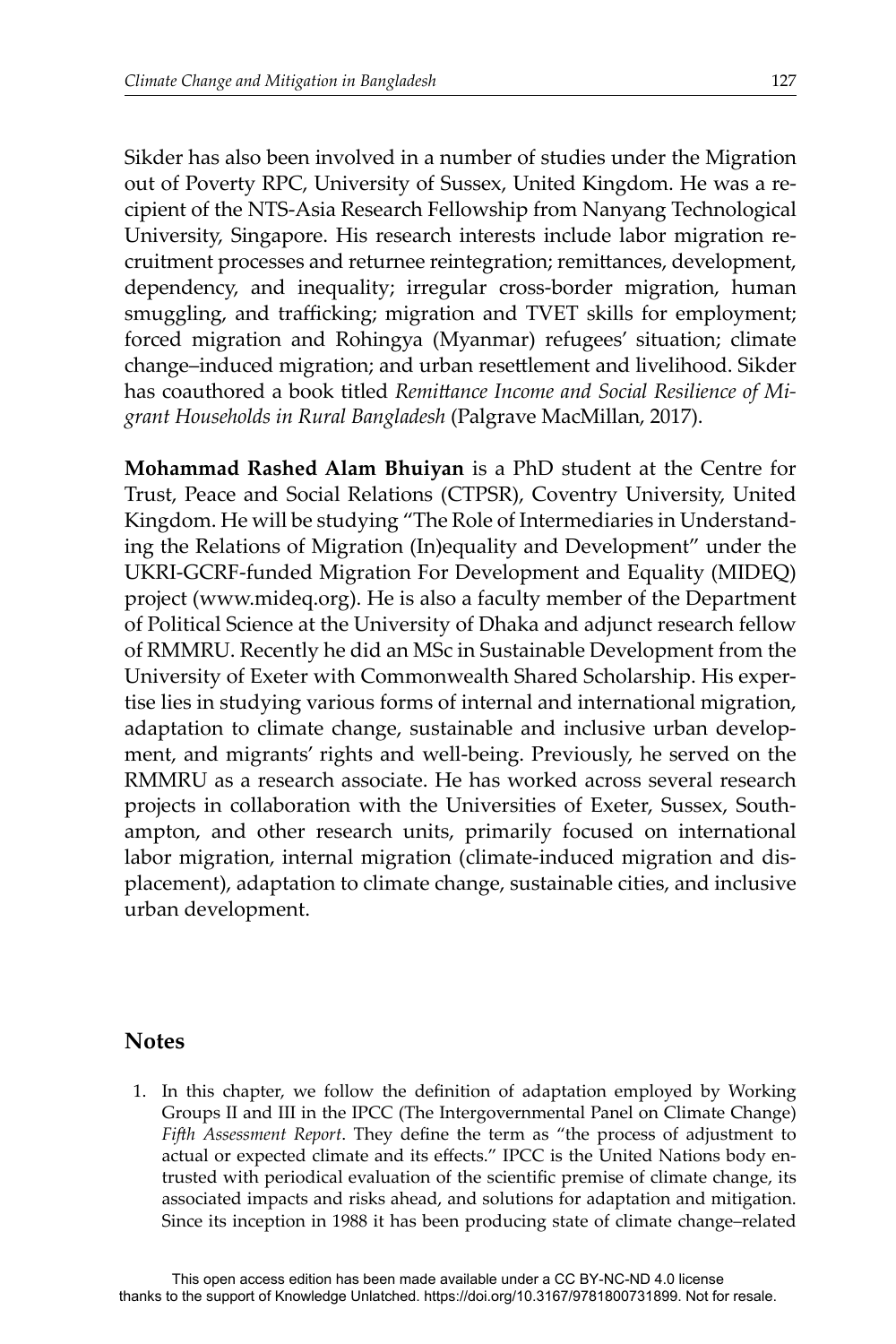Sikder has also been involved in a number of studies under the Migration out of Poverty RPC, University of Sussex, United Kingdom. He was a recipient of the NTS-Asia Research Fellowship from Nanyang Technological University, Singapore. His research interests include labor migration recruitment processes and returnee reintegration; remittances, development, dependency, and inequality; irregular cross-border migration, human smuggling, and trafficking; migration and TVET skills for employment; forced migration and Rohingya (Myanmar) refugees' situation; climate change–induced migration; and urban resettlement and livelihood. Sikder has coauthored a book titled *Remittance Income and Social Resilience of Migrant Households in Rural Bangladesh* (Palgrave MacMillan, 2017).

**Mohammad Rashed Alam Bhuiyan** is a PhD student at the Centre for Trust, Peace and Social Relations (CTPSR), Coventry University, United Kingdom. He will be studying "The Role of Intermediaries in Understanding the Relations of Migration (In)equality and Development" under the UKRI-GCRF-funded Migration For Development and Equality (MIDEQ) project (www.mideq.org). He is also a faculty member of the Department of Political Science at the University of Dhaka and adjunct research fellow of RMMRU. Recently he did an MSc in Sustainable Development from the University of Exeter with Commonwealth Shared Scholarship. His expertise lies in studying various forms of internal and international migration, adaptation to climate change, sustainable and inclusive urban development, and migrants' rights and well-being. Previously, he served on the RMMRU as a research associate. He has worked across several research projects in collaboration with the Universities of Exeter, Sussex, Southampton, and other research units, primarily focused on international labor migration, internal migration (climate-induced migration and displacement), adaptation to climate change, sustainable cities, and inclusive urban development.

#### **Notes**

1. In this chapter, we follow the definition of adaptation employed by Working Groups II and III in the IPCC (The Intergovernmental Panel on Climate Change) *Fifth Assessment Report*. They define the term as "the process of adjustment to actual or expected climate and its effects." IPCC is the United Nations body entrusted with periodical evaluation of the scientific premise of climate change, its associated impacts and risks ahead, and solutions for adaptation and mitigation. Since its inception in 1988 it has been producing state of climate change–related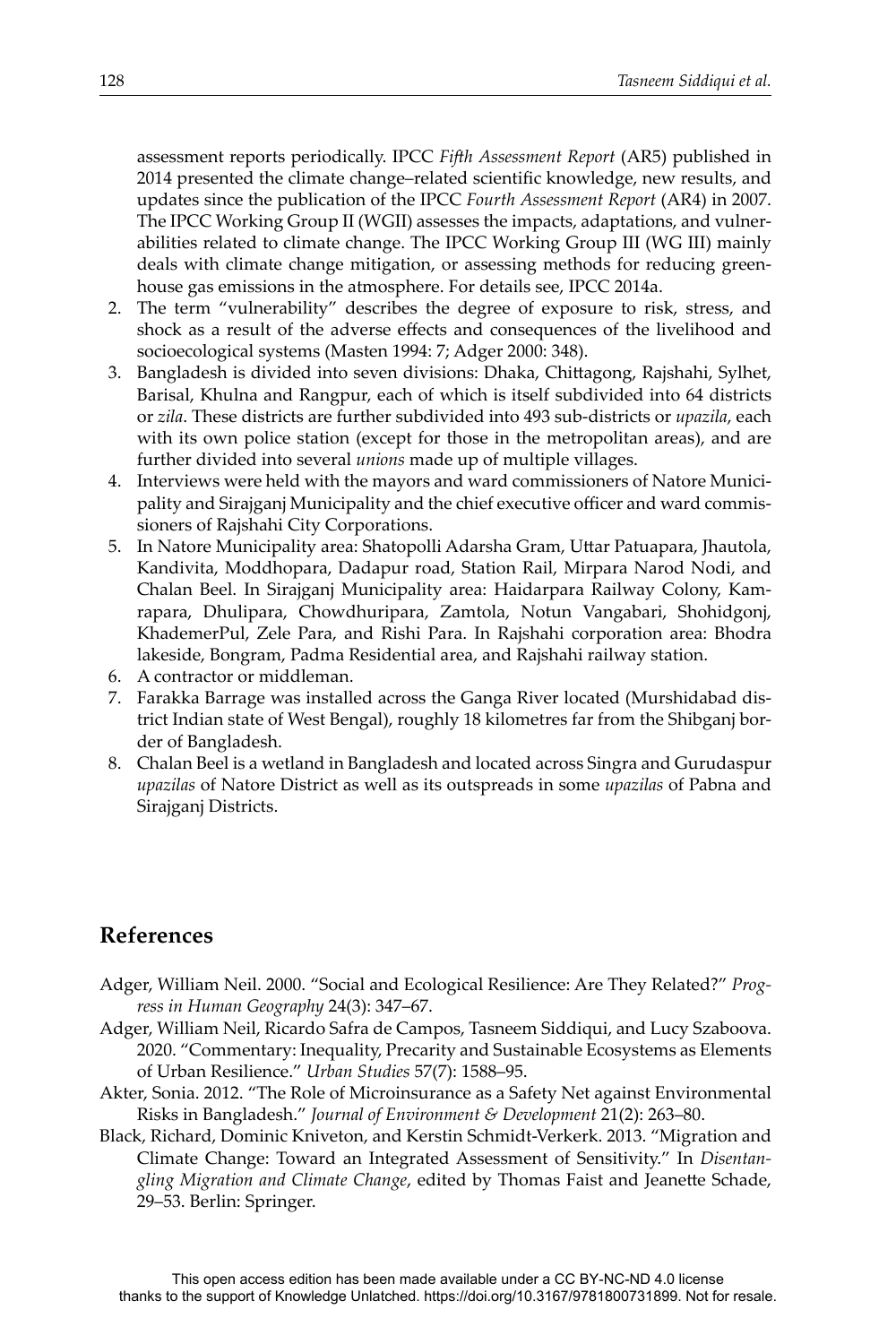assessment reports periodically. IPCC *FiĞ h Assessment Report* (AR5) published in 2014 presented the climate change–related scientific knowledge, new results, and updates since the publication of the IPCC *Fourth Assessment Report* (AR4) in 2007. The IPCC Working Group II (WGII) assesses the impacts, adaptations, and vulnerabilities related to climate change. The IPCC Working Group III (WG III) mainly deals with climate change mitigation, or assessing methods for reducing greenhouse gas emissions in the atmosphere. For details see, IPCC 2014a.

- 2. The term "vulnerability" describes the degree of exposure to risk, stress, and shock as a result of the adverse effects and consequences of the livelihood and socioecological systems (Masten 1994: 7; Adger 2000: 348).
- 3. Bangladesh is divided into seven divisions: Dhaka, Chittagong, Rajshahi, Sylhet, Barisal, Khulna and Rangpur, each of which is itself subdivided into 64 districts or *zila*. These districts are further subdivided into 493 sub-districts or *upazila*, each with its own police station (except for those in the metropolitan areas), and are further divided into several *unions* made up of multiple villages.
- 4. Interviews were held with the mayors and ward commissioners of Natore Municipality and Sirajganj Municipality and the chief executive officer and ward commissioners of Rajshahi City Corporations.
- 5. In Natore Municipality area: Shatopolli Adarsha Gram, Uttar Patuapara, Jhautola, Kandivita, Moddhopara, Dadapur road, Station Rail, Mirpara Narod Nodi, and Chalan Beel. In Sirajganj Municipality area: Haidarpara Railway Colony, Kamrapara, Dhulipara, Chowdhuripara, Zamtola, Notun Vangabari, Shohidgonj, KhademerPul, Zele Para, and Rishi Para. In Rajshahi corporation area: Bhodra lakeside, Bongram, Padma Residential area, and Rajshahi railway station.
- 6. A contractor or middleman.
- 7. Farakka Barrage was installed across the Ganga River located (Murshidabad district Indian state of West Bengal), roughly 18 kilometres far from the Shibganj border of Bangladesh.
- 8. Chalan Beel is a wetland in Bangladesh and located across Singra and Gurudaspur *upazilas* of Natore District as well as its outspreads in some *upazilas* of Pabna and Sirajganj Districts.

# **References**

- Adger, William Neil. 2000. "Social and Ecological Resilience: Are They Related?" *Progress in Human Geography* 24(3): 347–67.
- Adger, William Neil, Ricardo Safra de Campos, Tasneem Siddiqui, and Lucy Szaboova. 2020. "Commentary: Inequality, Precarity and Sustainable Ecosystems as Elements of Urban Resilience." *Urban Studies* 57(7): 1588–95.
- Akter, Sonia. 2012. "The Role of Microinsurance as a Safety Net against Environmental Risks in Bangladesh." *Journal of Environment & Development* 21(2): 263–80.
- Black, Richard, Dominic Kniveton, and Kerstin Schmidt-Verkerk. 2013. "Migration and Climate Change: Toward an Integrated Assessment of Sensitivity." In *Disentan*gling Migration and Climate Change, edited by Thomas Faist and Jeanette Schade, 29–53. Berlin: Springer.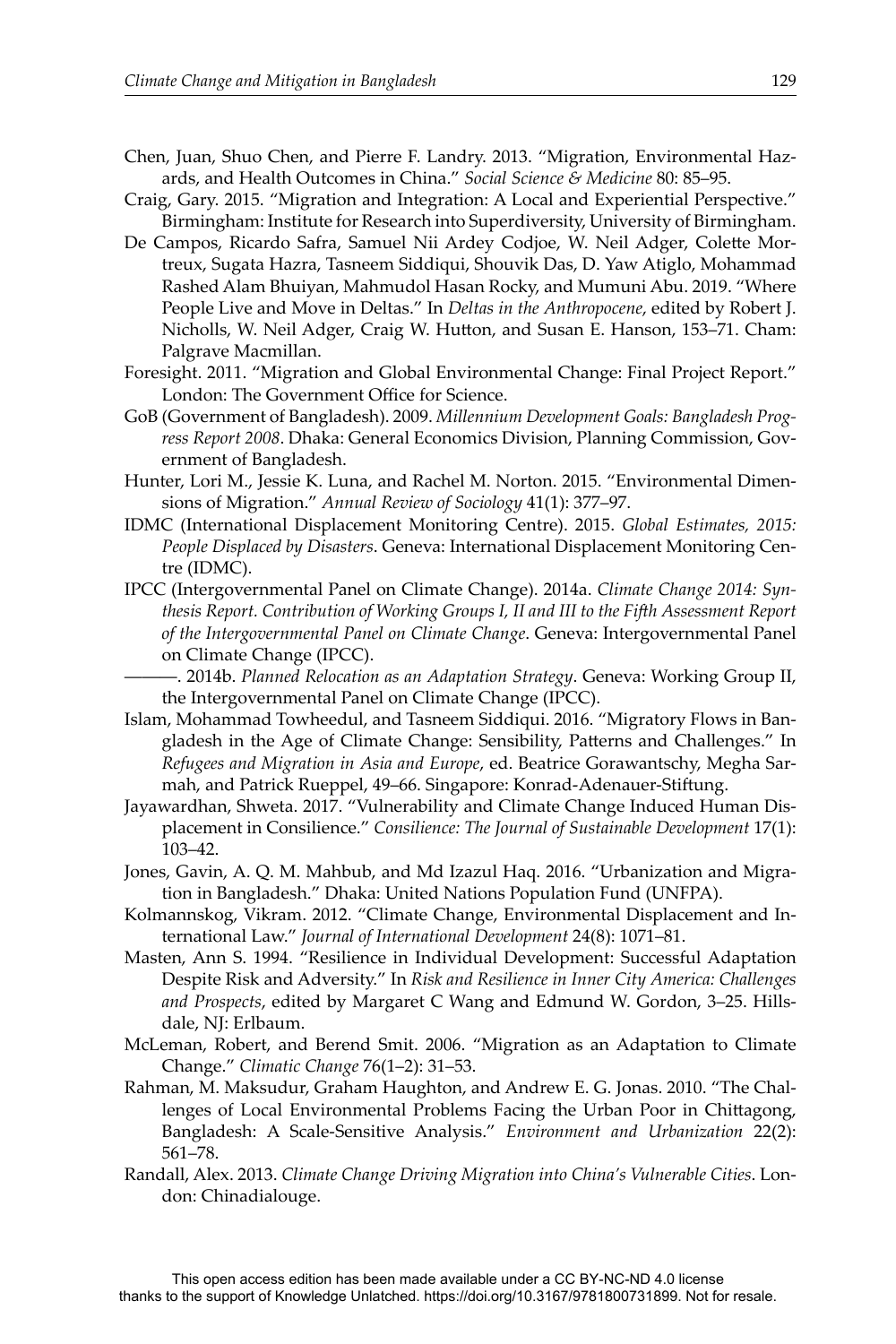- Chen, Juan, Shuo Chen, and Pierre F. Landry. 2013. "Migration, Environmental Hazards, and Health Outcomes in China." *Social Science & Medicine* 80: 85–95.
- Craig, Gary. 2015. "Migration and Integration: A Local and Experiential Perspective." Birmingham: Institute for Research into Superdiversity, University of Birmingham.
- De Campos, Ricardo Safra, Samuel Nii Ardey Codjoe, W. Neil Adger, Colette Mortreux, Sugata Hazra, Tasneem Siddiqui, Shouvik Das, D. Yaw Atiglo, Mohammad Rashed Alam Bhuiyan, Mahmudol Hasan Rocky, and Mumuni Abu. 2019. "Where People Live and Move in Deltas." In *Deltas in the Anthropocene*, edited by Robert J. Nicholls, W. Neil Adger, Craig W. Hutton, and Susan E. Hanson, 153–71. Cham: Palgrave Macmillan.
- Foresight. 2011. "Migration and Global Environmental Change: Final Project Report." London: The Government Office for Science.
- GoB (Government of Bangladesh). 2009. *Millennium Development Goals: Bangladesh Progress Report 2008*. Dhaka: General Economics Division, Planning Commission, Government of Bangladesh.
- Hunter, Lori M., Jessie K. Luna, and Rachel M. Norton. 2015. "Environmental Dimensions of Migration." *Annual Review of Sociology* 41(1): 377–97.
- IDMC (International Displacement Monitoring Centre). 2015. *Global Estimates, 2015: People Displaced by Disasters*. Geneva: International Displacement Monitoring Centre (IDMC).
- IPCC (Intergovernmental Panel on Climate Change). 2014a. *Climate Change 2014: Synthesis Report. Contribution of Working Groups I, II and III to the FiĞ h Assessment Report of the Intergovernmental Panel on Climate Change*. Geneva: Intergovernmental Panel on Climate Change (IPCC).
- ———. 2014b. *Planned Relocation as an Adaptation Strategy*. Geneva: Working Group II, the Intergovernmental Panel on Climate Change (IPCC).
- Islam, Mohammad Towheedul, and Tasneem Siddiqui. 2016. "Migratory Flows in Bangladesh in the Age of Climate Change: Sensibility, Patterns and Challenges." In *Refugees and Migration in Asia and Europe*, ed. Beatrice Gorawantschy, Megha Sarmah, and Patrick Rueppel, 49–66. Singapore: Konrad-Adenauer-Stiftung.
- Jayawardhan, Shweta. 2017. "Vulnerability and Climate Change Induced Human Displacement in Consilience." *Consilience: The Journal of Sustainable Development* 17(1): 103–42.
- Jones, Gavin, A. Q. M. Mahbub, and Md Izazul Haq. 2016. "Urbanization and Migration in Bangladesh." Dhaka: United Nations Population Fund (UNFPA).
- Kolmannskog, Vikram. 2012. "Climate Change, Environmental Displacement and International Law." *Journal of International Development* 24(8): 1071–81.
- Masten, Ann S. 1994. "Resilience in Individual Development: Successful Adaptation Despite Risk and Adversity." In *Risk and Resilience in Inner City America: Challenges and Prospects*, edited by Margaret C Wang and Edmund W. Gordon, 3–25. Hillsdale, NJ: Erlbaum.
- McLeman, Robert, and Berend Smit. 2006. "Migration as an Adaptation to Climate Change." *Climatic Change* 76(1–2): 31–53.
- Rahman, M. Maksudur, Graham Haughton, and Andrew E. G. Jonas. 2010. "The Challenges of Local Environmental Problems Facing the Urban Poor in Chittagong, Bangladesh: A Scale-Sensitive Analysis." *Environment and Urbanization* 22(2): 561–78.
- Randall, Alex. 2013. *Climate Change Driving Migration into China's Vulnerable Cities*. London: Chinadialouge.